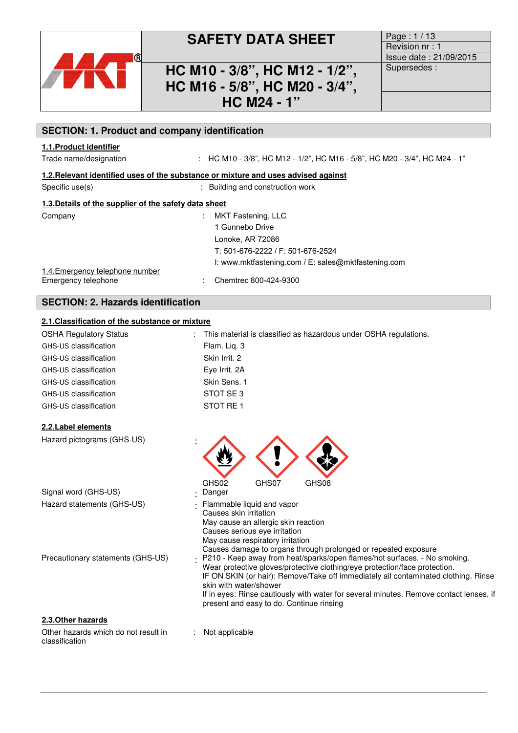

## **SAFETY DATA SHEET** Page : 1/13

### **HC M10 - 3/8", HC M12 - 1/2", HC M16 - 5/8", HC M20 - 3/4", HC M24 - 1"**

Revision nr : 1 Issue date : 21/09/2015 Supersedes :

### **1.1.Product identifier**  Trade name/designation :  $HCM10 - 3/8$ ", HC M12 - 1/2", HC M16 - 5/8", HC M20 - 3/4", HC M24 - 1" **1.2.Relevant identified uses of the substance or mixture and uses advised against**  Specific use(s)  $\qquad \qquad$ : Building and construction work **1.3.Details of the supplier of the safety data sheet**  Company : MKT Fastening, LLC 1 Gunnebo Drive Lonoke, AR 72086 T: 501-676-2222 / F: 501-676-2524 I: www.mktfastening.com / E: sales@mktfastening.com

1.4.Emergency telephone number Emergency telephone : Chemtrec 800-424-9300

### **SECTION: 2. Hazards identification**

### **2.1.Classification of the substance or mixture**

**SECTION: 1. Product and company identification**

| <b>OSHA Regulatory Status</b> | : This material is classified as hazardous under OSHA regulations. |
|-------------------------------|--------------------------------------------------------------------|
| GHS-US classification         | Flam. Lig. 3                                                       |
| GHS-US classification         | Skin Irrit, 2                                                      |
| GHS-US classification         | Eye Irrit. 2A                                                      |
| GHS-US classification         | Skin Sens. 1                                                       |
| GHS-US classification         | STOT SE3                                                           |
| GHS-US classification         | STOT RE 1                                                          |

#### **2.2.Label elements**

| 2.2.Label elements                |                                                                                                                                                                                                                                                                                                                                                                   |
|-----------------------------------|-------------------------------------------------------------------------------------------------------------------------------------------------------------------------------------------------------------------------------------------------------------------------------------------------------------------------------------------------------------------|
| Hazard pictograms (GHS-US)        |                                                                                                                                                                                                                                                                                                                                                                   |
| Signal word (GHS-US)              | GHS08<br>GHS02<br>GHS07<br>Danger<br>٠                                                                                                                                                                                                                                                                                                                            |
| Hazard statements (GHS-US)        | Flammable liquid and vapor<br>Causes skin irritation<br>May cause an allergic skin reaction<br>Causes serious eye irritation<br>May cause respiratory irritation<br>Causes damage to organs through prolonged or repeated exposure                                                                                                                                |
| Precautionary statements (GHS-US) | P210 - Keep away from heat/sparks/open flames/hot surfaces. - No smoking.<br>Wear protective gloves/protective clothing/eye protection/face protection.<br>IF ON SKIN (or hair): Remove/Take off immediately all contaminated clothing. Rinse<br>skin with water/shower<br>If in eyes: Rinse cautiously with water for several minutes. Remove contact lenses, if |

present and easy to do. Continue rinsing

#### **2.3.Other hazards**

Other hazards which do not result in classification

: Not applicable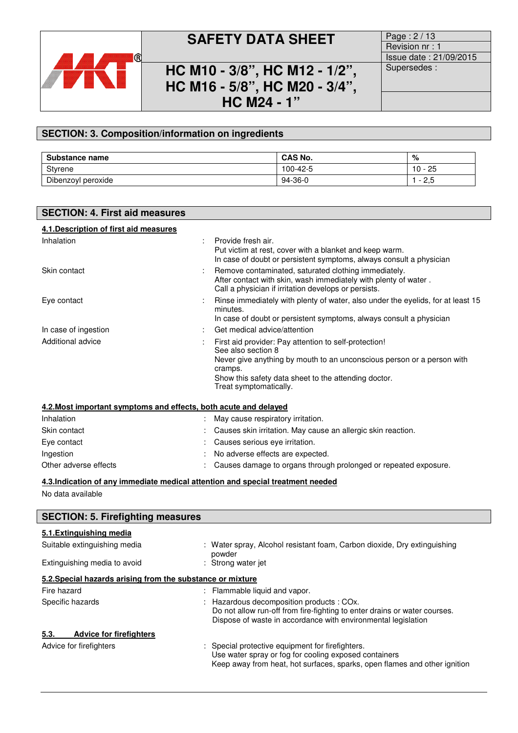

## **SAFETY DATA SHEET** Page : 2/13

**HC M10 - 3/8", HC M12 - 1/2", HC M16 - 5/8", HC M20 - 3/4", HC M24 - 1"** 

Revision nr : 1 Issue date : 21/09/2015 Supersedes :

### **SECTION: 3. Composition/information on ingredients**

| Substance name     | <b>CAS No.</b> | %                  |
|--------------------|----------------|--------------------|
| Styrene            | 100-42-5       | 25<br>10           |
| Dibenzoyl peroxide | $94-36-0$      | $\sim$<br>-<br>ں ۔ |

| <b>SECTION: 4. First aid measures</b>                                          |                                                                                                                                                                                                                                                    |
|--------------------------------------------------------------------------------|----------------------------------------------------------------------------------------------------------------------------------------------------------------------------------------------------------------------------------------------------|
| 4.1. Description of first aid measures                                         |                                                                                                                                                                                                                                                    |
| Inhalation                                                                     | Provide fresh air.<br>Put victim at rest, cover with a blanket and keep warm.<br>In case of doubt or persistent symptoms, always consult a physician                                                                                               |
| Skin contact                                                                   | Remove contaminated, saturated clothing immediately.<br>After contact with skin, wash immediately with plenty of water.<br>Call a physician if irritation develops or persists.                                                                    |
| Eye contact                                                                    | Rinse immediately with plenty of water, also under the eyelids, for at least 15<br>minutes.<br>In case of doubt or persistent symptoms, always consult a physician                                                                                 |
| In case of ingestion                                                           | Get medical advice/attention                                                                                                                                                                                                                       |
| Additional advice                                                              | First aid provider: Pay attention to self-protection!<br>See also section 8<br>Never give anything by mouth to an unconscious person or a person with<br>cramps.<br>Show this safety data sheet to the attending doctor.<br>Treat symptomatically. |
| 4.2. Most important symptoms and effects, both acute and delayed               |                                                                                                                                                                                                                                                    |
| Inhalation                                                                     | May cause respiratory irritation.                                                                                                                                                                                                                  |
| Skin contact                                                                   | Causes skin irritation. May cause an allergic skin reaction.                                                                                                                                                                                       |
| Eye contact                                                                    | Causes serious eye irritation.                                                                                                                                                                                                                     |
| Ingestion                                                                      | No adverse effects are expected.                                                                                                                                                                                                                   |
| Other adverse effects                                                          | Causes damage to organs through prolonged or repeated exposure.                                                                                                                                                                                    |
| 4.3.Indication of any immediate medical attention and special treatment needed |                                                                                                                                                                                                                                                    |
| No data available                                                              |                                                                                                                                                                                                                                                    |
| <b>SECTION: 5. Firefighting measures</b>                                       |                                                                                                                                                                                                                                                    |
| 5.1. Extinguishing media                                                       |                                                                                                                                                                                                                                                    |
| Suitable extinguishing media                                                   | Water spray, Alcohol resistant foam, Carbon dioxide, Dry extinguishing<br>powder                                                                                                                                                                   |
| Finally contractors, we call a discussion to                                   | .                                                                                                                                                                                                                                                  |

# Extinguishing media to avoid : Strong water jet

### **5.2.Special hazards arising from the substance or mixture**  Fire hazard **in the summable in the set of the set of the set of the set of the set of the set of the set of the set of the set of the set of the set of the set of the set of the set of the set of the set of the set of the** Specific hazards **Specific hazards** : Hazardous decomposition products : COx. Do not allow run-off from fire-fighting to enter drains or water courses. Dispose of waste in accordance with environmental legislation **5.3. Advice for firefighters**  Advice for firefighters **in the case of the Contract Contract Contract Contract Contract Contract Contract Contract Contract Contract Contract Contract Contract Contract Contract Contract Contract Contract Contract Contrac** Use water spray or fog for cooling exposed containers Keep away from heat, hot surfaces, sparks, open flames and other ignition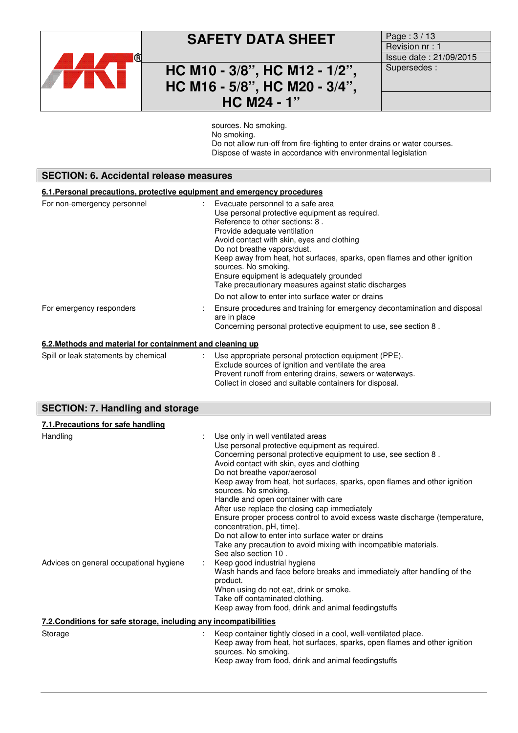

## **SAFETY DATA SHEET** Page : 3/13

## **HC M10 - 3/8", HC M12 - 1/2", HC M16 - 5/8", HC M20 - 3/4", HC M24 - 1"**

Revision nr : 1 Issue date : 21/09/2015 Supersedes :

sources. No smoking. No smoking. Do not allow run-off from fire-fighting to enter drains or water courses. Dispose of waste in accordance with environmental legislation

| <b>SECTION: 6. Accidental release measures</b><br>6.1. Personal precautions, protective equipment and emergency procedures |                                                                                                                                                              |  |                             |
|----------------------------------------------------------------------------------------------------------------------------|--------------------------------------------------------------------------------------------------------------------------------------------------------------|--|-----------------------------|
|                                                                                                                            |                                                                                                                                                              |  | For non-emergency personnel |
| For emergency responders                                                                                                   | Ensure procedures and training for emergency decontamination and disposal<br>are in place<br>Concerning personal protective equipment to use, see section 8. |  |                             |
| 6.2. Methods and material for containment and cleaning up                                                                  |                                                                                                                                                              |  |                             |
| Spill or leak statements by chemical                                                                                       | Use appropriate personal protection equipment (PPE).                                                                                                         |  |                             |

| Use appropriate personal protection equipment (PPE).<br>Exclude sources of ignition and ventilate the area |                                      |  |                                                          |  |
|------------------------------------------------------------------------------------------------------------|--------------------------------------|--|----------------------------------------------------------|--|
|                                                                                                            | Spill or leak statements by chemical |  | Prevent runoff from entering drains, sewers or waterways |  |

|                                         | Collect in closed and suitable containers for disposal. |
|-----------------------------------------|---------------------------------------------------------|
| <b>SECTION: 7. Handling and storage</b> |                                                         |

| 7.1. Precautions for safe handling                                |                                                                                                                                                                                                                                                                                                                                                                                                                                                                                                                                                                                                                                                                                                 |
|-------------------------------------------------------------------|-------------------------------------------------------------------------------------------------------------------------------------------------------------------------------------------------------------------------------------------------------------------------------------------------------------------------------------------------------------------------------------------------------------------------------------------------------------------------------------------------------------------------------------------------------------------------------------------------------------------------------------------------------------------------------------------------|
| Handling                                                          | Use only in well ventilated areas<br>Use personal protective equipment as required.<br>Concerning personal protective equipment to use, see section 8.<br>Avoid contact with skin, eyes and clothing<br>Do not breathe vapor/aerosol<br>Keep away from heat, hot surfaces, sparks, open flames and other ignition<br>sources. No smoking.<br>Handle and open container with care<br>After use replace the closing cap immediately<br>Ensure proper process control to avoid excess waste discharge (temperature,<br>concentration, pH, time).<br>Do not allow to enter into surface water or drains<br>Take any precaution to avoid mixing with incompatible materials.<br>See also section 10. |
| Advices on general occupational hygiene                           | Keep good industrial hygiene<br>Wash hands and face before breaks and immediately after handling of the<br>product.<br>When using do not eat, drink or smoke.<br>Take off contaminated clothing.<br>Keep away from food, drink and animal feedingstuffs                                                                                                                                                                                                                                                                                                                                                                                                                                         |
| 7.2. Conditions for safe storage, including any incompatibilities |                                                                                                                                                                                                                                                                                                                                                                                                                                                                                                                                                                                                                                                                                                 |
| Storage                                                           | Keep container tightly closed in a cool, well-ventilated place.<br>Keep away from heat, hot surfaces, sparks, open flames and other ignition<br>sources. No smoking.<br>Keep away from food, drink and animal feedingstuffs                                                                                                                                                                                                                                                                                                                                                                                                                                                                     |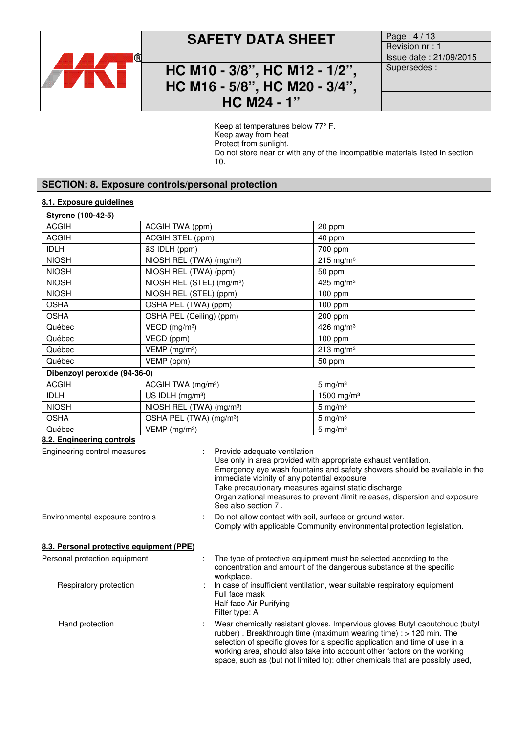

## **SAFETY DATA SHEET** Page: 4/13

### **HC M10 - 3/8", HC M12 - 1/2", HC M16 - 5/8", HC M20 - 3/4", HC M24 - 1"**

Revision nr : 1 Issue date : 21/09/2015 Supersedes :

Keep at temperatures below 77° F. Keep away from heat Protect from sunlight. Do not store near or with any of the incompatible materials listed in section 10.

### **SECTION: 8. Exposure controls/personal protection**

### **8.1. Exposure guidelines**

| Styrene (100-42-5)                                                                                                                                                                                                                                                                                                                                                                                                                                       |                                                             |                                                                                                                                                                                                                                                                                                                                                                                               |  |
|----------------------------------------------------------------------------------------------------------------------------------------------------------------------------------------------------------------------------------------------------------------------------------------------------------------------------------------------------------------------------------------------------------------------------------------------------------|-------------------------------------------------------------|-----------------------------------------------------------------------------------------------------------------------------------------------------------------------------------------------------------------------------------------------------------------------------------------------------------------------------------------------------------------------------------------------|--|
| <b>ACGIH</b>                                                                                                                                                                                                                                                                                                                                                                                                                                             | ACGIH TWA (ppm)                                             | 20 ppm                                                                                                                                                                                                                                                                                                                                                                                        |  |
| <b>ACGIH</b>                                                                                                                                                                                                                                                                                                                                                                                                                                             | ACGIH STEL (ppm)                                            | 40 ppm                                                                                                                                                                                                                                                                                                                                                                                        |  |
| <b>IDLH</b>                                                                                                                                                                                                                                                                                                                                                                                                                                              | āS IDLH (ppm)                                               | 700 ppm                                                                                                                                                                                                                                                                                                                                                                                       |  |
| <b>NIOSH</b>                                                                                                                                                                                                                                                                                                                                                                                                                                             | NIOSH REL (TWA) (mg/m <sup>3</sup> )                        | $215$ mg/m <sup>3</sup>                                                                                                                                                                                                                                                                                                                                                                       |  |
| <b>NIOSH</b>                                                                                                                                                                                                                                                                                                                                                                                                                                             | NIOSH REL (TWA) (ppm)                                       | 50 ppm                                                                                                                                                                                                                                                                                                                                                                                        |  |
| <b>NIOSH</b>                                                                                                                                                                                                                                                                                                                                                                                                                                             | NIOSH REL (STEL) (mg/m <sup>3</sup> )                       | 425 mg/m $3$                                                                                                                                                                                                                                                                                                                                                                                  |  |
| <b>NIOSH</b>                                                                                                                                                                                                                                                                                                                                                                                                                                             | NIOSH REL (STEL) (ppm)                                      | 100 ppm                                                                                                                                                                                                                                                                                                                                                                                       |  |
| <b>OSHA</b>                                                                                                                                                                                                                                                                                                                                                                                                                                              | OSHA PEL (TWA) (ppm)                                        | 100 ppm                                                                                                                                                                                                                                                                                                                                                                                       |  |
| <b>OSHA</b>                                                                                                                                                                                                                                                                                                                                                                                                                                              | OSHA PEL (Ceiling) (ppm)                                    | 200 ppm                                                                                                                                                                                                                                                                                                                                                                                       |  |
| Québec                                                                                                                                                                                                                                                                                                                                                                                                                                                   | VECD (mg/m <sup>3</sup> )                                   | 426 mg/m $3$                                                                                                                                                                                                                                                                                                                                                                                  |  |
| Québec                                                                                                                                                                                                                                                                                                                                                                                                                                                   | VECD (ppm)                                                  | 100 ppm                                                                                                                                                                                                                                                                                                                                                                                       |  |
| Québec                                                                                                                                                                                                                                                                                                                                                                                                                                                   | $VEMP$ (mg/m <sup>3</sup> )                                 | $213$ mg/m <sup>3</sup>                                                                                                                                                                                                                                                                                                                                                                       |  |
| Québec                                                                                                                                                                                                                                                                                                                                                                                                                                                   | VEMP (ppm)                                                  | 50 ppm                                                                                                                                                                                                                                                                                                                                                                                        |  |
| Dibenzoyl peroxide (94-36-0)                                                                                                                                                                                                                                                                                                                                                                                                                             |                                                             |                                                                                                                                                                                                                                                                                                                                                                                               |  |
| <b>ACGIH</b>                                                                                                                                                                                                                                                                                                                                                                                                                                             | ACGIH TWA (mg/m <sup>3</sup> )                              | $5$ mg/m <sup>3</sup>                                                                                                                                                                                                                                                                                                                                                                         |  |
| <b>IDLH</b>                                                                                                                                                                                                                                                                                                                                                                                                                                              | US IDLH (mg/m <sup>3</sup> )                                | 1500 mg/m <sup>3</sup>                                                                                                                                                                                                                                                                                                                                                                        |  |
| <b>NIOSH</b>                                                                                                                                                                                                                                                                                                                                                                                                                                             | NIOSH REL (TWA) (mg/m <sup>3</sup> )                        | $5 \text{ mg/m}^3$                                                                                                                                                                                                                                                                                                                                                                            |  |
| <b>OSHA</b>                                                                                                                                                                                                                                                                                                                                                                                                                                              | OSHA PEL (TWA) (mg/m <sup>3</sup> )                         | $5 \text{ mg/m}^3$                                                                                                                                                                                                                                                                                                                                                                            |  |
| Québec                                                                                                                                                                                                                                                                                                                                                                                                                                                   | $VEMP$ (mg/m <sup>3</sup> )                                 | $5 \text{ mg/m}^3$                                                                                                                                                                                                                                                                                                                                                                            |  |
| 8.2. Engineering controls<br>Engineering control measures<br>Provide adequate ventilation<br>Use only in area provided with appropriate exhaust ventilation.<br>Emergency eye wash fountains and safety showers should be available in the<br>immediate vicinity of any potential exposure<br>Take precautionary measures against static discharge<br>Organizational measures to prevent /limit releases, dispersion and exposure<br>See also section 7. |                                                             |                                                                                                                                                                                                                                                                                                                                                                                               |  |
| Environmental exposure controls<br>Do not allow contact with soil, surface or ground water.                                                                                                                                                                                                                                                                                                                                                              |                                                             | Comply with applicable Community environmental protection legislation.                                                                                                                                                                                                                                                                                                                        |  |
| 8.3. Personal protective equipment (PPE)                                                                                                                                                                                                                                                                                                                                                                                                                 |                                                             |                                                                                                                                                                                                                                                                                                                                                                                               |  |
| Personal protection equipment                                                                                                                                                                                                                                                                                                                                                                                                                            | workplace.                                                  | The type of protective equipment must be selected according to the<br>concentration and amount of the dangerous substance at the specific                                                                                                                                                                                                                                                     |  |
| Respiratory protection                                                                                                                                                                                                                                                                                                                                                                                                                                   | Full face mask<br>Half face Air-Purifying<br>Filter type: A | In case of insufficient ventilation, wear suitable respiratory equipment                                                                                                                                                                                                                                                                                                                      |  |
| Hand protection                                                                                                                                                                                                                                                                                                                                                                                                                                          |                                                             | Wear chemically resistant gloves. Impervious gloves Butyl caoutchouc (butyl<br>rubber). Breakthrough time (maximum wearing time) : > 120 min. The<br>selection of specific gloves for a specific application and time of use in a<br>working area, should also take into account other factors on the working<br>space, such as (but not limited to): other chemicals that are possibly used, |  |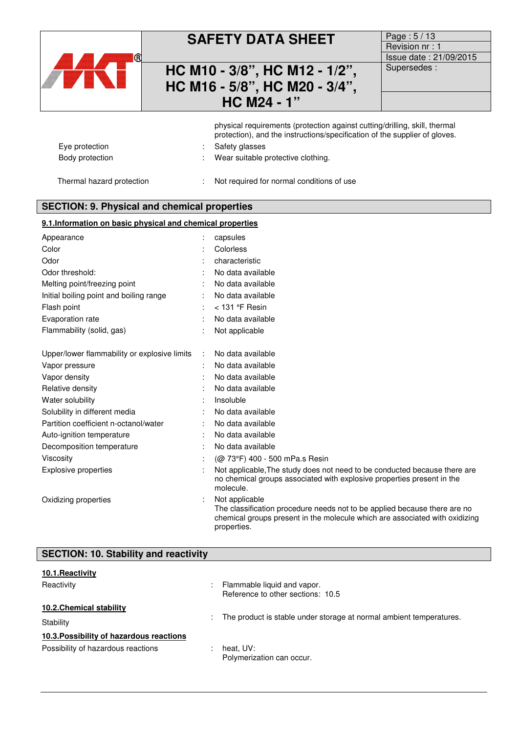

## **SAFETY DATA SHEET**

### **HC M10 - 3/8", HC M12 - 1/2", HC M16 - 5/8", HC M20 - 3/4", HC M24 - 1"**

| Page: 5/13             |
|------------------------|
| Revision nr: 1         |
| Issue date: 21/09/2015 |
| Supersedes:            |
|                        |

|                           | physical requirements (protection against cutting/drilling, skill, thermal<br>protection), and the instructions/specification of the supplier of gloves. |
|---------------------------|----------------------------------------------------------------------------------------------------------------------------------------------------------|
| Eye protection            | Safety glasses                                                                                                                                           |
| Body protection           | Wear suitable protective clothing.                                                                                                                       |
| Thermal hazard protection | Not required for normal conditions of use                                                                                                                |

### **SECTION: 9. Physical and chemical properties**

### **9.1.Information on basic physical and chemical properties**

| Appearance                                   | capsules                                                                                                                                                                                  |
|----------------------------------------------|-------------------------------------------------------------------------------------------------------------------------------------------------------------------------------------------|
| Color                                        | Colorless                                                                                                                                                                                 |
| Odor                                         | characteristic                                                                                                                                                                            |
| Odor threshold:                              | No data available                                                                                                                                                                         |
| Melting point/freezing point                 | No data available                                                                                                                                                                         |
| Initial boiling point and boiling range      | No data available                                                                                                                                                                         |
| Flash point                                  | $<$ 131 °F Resin                                                                                                                                                                          |
| Evaporation rate                             | No data available                                                                                                                                                                         |
| Flammability (solid, gas)                    | Not applicable                                                                                                                                                                            |
| Upper/lower flammability or explosive limits | No data available                                                                                                                                                                         |
| Vapor pressure                               | No data available                                                                                                                                                                         |
| Vapor density                                | No data available                                                                                                                                                                         |
| Relative density                             | No data available                                                                                                                                                                         |
| Water solubility                             | Insoluble                                                                                                                                                                                 |
| Solubility in different media                | No data available                                                                                                                                                                         |
| Partition coefficient n-octanol/water        | No data available                                                                                                                                                                         |
| Auto-ignition temperature                    | No data available                                                                                                                                                                         |
| Decomposition temperature                    | No data available                                                                                                                                                                         |
| Viscosity                                    | (@ 73°F) 400 - 500 mPa.s Resin                                                                                                                                                            |
| <b>Explosive properties</b>                  | Not applicable, The study does not need to be conducted because there are<br>no chemical groups associated with explosive properties present in the<br>molecule.                          |
| Oxidizing properties                         | Not applicable<br>The classification procedure needs not to be applied because there are no<br>chemical groups present in the molecule which are associated with oxidizing<br>properties. |

| <b>SECTION: 10. Stability and reactivity</b> |                                                                     |
|----------------------------------------------|---------------------------------------------------------------------|
| 10.1. Reactivity                             |                                                                     |
| Reactivity                                   | Flammable liquid and vapor.<br>Reference to other sections: 10.5    |
| 10.2. Chemical stability<br>Stability        | The product is stable under storage at normal ambient temperatures. |
| 10.3. Possibility of hazardous reactions     |                                                                     |
| Possibility of hazardous reactions           | heat, UV:<br>Polymerization can occur.                              |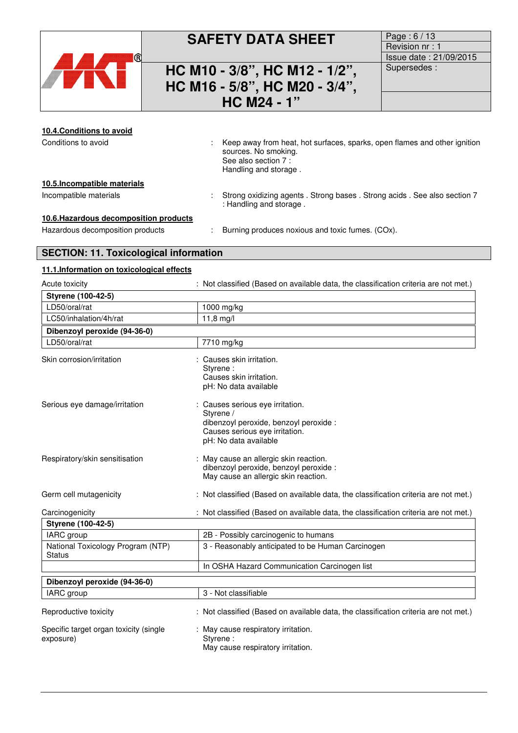

## **SAFETY DATA SHEET** Page : 6/13

## **HC M10 - 3/8", HC M12 - 1/2", HC M16 - 5/8", HC M20 - 3/4", HC M24 - 1"**

Revision nr : 1 Issue date : 21/09/2015 Supersedes :

### **10.4.Conditions to avoid**  Conditions to avoid **interpret in the Conditions** of the Keep away from heat, hot surfaces, sparks, open flames and other ignition sources. No smoking. See also section 7 : Handling and storage . **10.5.Incompatible materials**  Incompatible materials : Strong oxidizing agents . Strong bases . Strong acids . See also section 7 : Handling and storage . **10.6.Hazardous decomposition products**  Hazardous decomposition products : Burning produces noxious and toxic fumes. (COx). **SECTION: 11. Toxicological information 11.1.Information on toxicological effects**

| Acute toxicity                                      | : Not classified (Based on available data, the classification criteria are not met.)                                                               |
|-----------------------------------------------------|----------------------------------------------------------------------------------------------------------------------------------------------------|
| Styrene (100-42-5)                                  |                                                                                                                                                    |
| LD50/oral/rat                                       | 1000 mg/kg                                                                                                                                         |
| LC50/inhalation/4h/rat                              | $11,8 \, mg/l$                                                                                                                                     |
| Dibenzoyl peroxide (94-36-0)                        |                                                                                                                                                    |
| LD50/oral/rat                                       | 7710 mg/kg                                                                                                                                         |
| Skin corrosion/irritation                           | : Causes skin irritation.<br>Styrene:<br>Causes skin irritation.<br>pH: No data available                                                          |
| Serious eye damage/irritation                       | : Causes serious eye irritation.<br>Styrene /<br>dibenzoyl peroxide, benzoyl peroxide :<br>Causes serious eye irritation.<br>pH: No data available |
| Respiratory/skin sensitisation                      | : May cause an allergic skin reaction.<br>dibenzoyl peroxide, benzoyl peroxide :<br>May cause an allergic skin reaction.                           |
| Germ cell mutagenicity                              | : Not classified (Based on available data, the classification criteria are not met.)                                                               |
| Carcinogenicity                                     | : Not classified (Based on available data, the classification criteria are not met.)                                                               |
| Styrene (100-42-5)                                  |                                                                                                                                                    |
| IARC group                                          | 2B - Possibly carcinogenic to humans                                                                                                               |
| National Toxicology Program (NTP)<br><b>Status</b>  | 3 - Reasonably anticipated to be Human Carcinogen                                                                                                  |
|                                                     | In OSHA Hazard Communication Carcinogen list                                                                                                       |
| Dibenzoyl peroxide (94-36-0)                        |                                                                                                                                                    |
| IARC group                                          | 3 - Not classifiable                                                                                                                               |
| Reproductive toxicity                               | : Not classified (Based on available data, the classification criteria are not met.)                                                               |
| Specific target organ toxicity (single<br>exposure) | : May cause respiratory irritation.<br>Styrene:<br>May cause respiratory irritation.                                                               |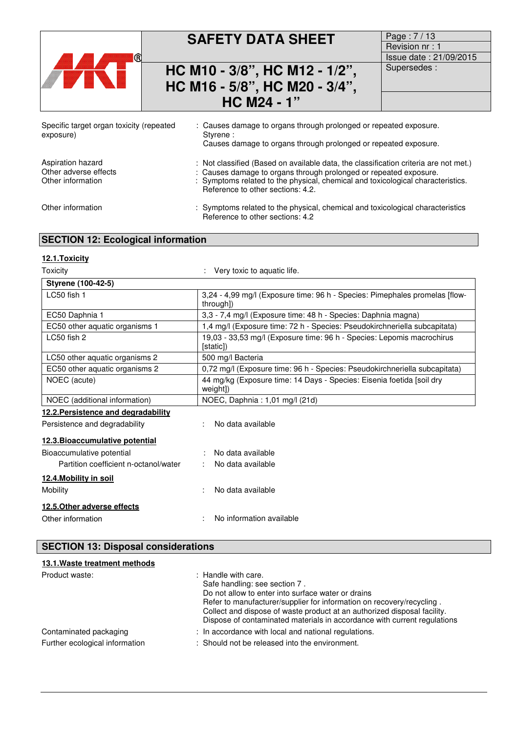| (R)                                                             | <b>SAFETY DATA SHEET</b><br>HC M10 - 3/8", HC M12 - 1/2",<br>HC M16 - 5/8", HC M20 - 3/4",<br><b>HC M24 - 1"</b>                                                                                                                                                                  | Page: 7/13<br>Revision nr: 1<br>Issue date: 21/09/2015<br>Supersedes: |
|-----------------------------------------------------------------|-----------------------------------------------------------------------------------------------------------------------------------------------------------------------------------------------------------------------------------------------------------------------------------|-----------------------------------------------------------------------|
| Specific target organ toxicity (repeated<br>exposure)           | : Causes damage to organs through prolonged or repeated exposure.<br>Styrene:<br>Causes damage to organs through prolonged or repeated exposure.                                                                                                                                  |                                                                       |
| Aspiration hazard<br>Other adverse effects<br>Other information | : Not classified (Based on available data, the classification criteria are not met.)<br>: Causes damage to organs through prolonged or repeated exposure.<br>: Symptoms related to the physical, chemical and toxicological characteristics.<br>Reference to other sections: 4.2. |                                                                       |
| Other information                                               | : Symptoms related to the physical, chemical and toxicological characteristics<br>Reference to other sections: 4.2                                                                                                                                                                |                                                                       |
| <b>SECTION 12: Ecological information</b>                       |                                                                                                                                                                                                                                                                                   |                                                                       |
| 12.1.Toxicity                                                   |                                                                                                                                                                                                                                                                                   |                                                                       |

| Toxicity                              | : Very toxic to aquatic life.                                                            |
|---------------------------------------|------------------------------------------------------------------------------------------|
| Styrene (100-42-5)                    |                                                                                          |
| LC50 fish 1                           | 3,24 - 4,99 mg/l (Exposure time: 96 h - Species: Pimephales promelas [flow-<br>through]) |
| EC50 Daphnia 1                        | 3,3 - 7,4 mg/l (Exposure time: 48 h - Species: Daphnia magna)                            |
| EC50 other aquatic organisms 1        | 1,4 mg/l (Exposure time: 72 h - Species: Pseudokirchneriella subcapitata)                |
| LC50 fish 2                           | 19,03 - 33,53 mg/l (Exposure time: 96 h - Species: Lepomis macrochirus<br>[static])      |
| LC50 other aquatic organisms 2        | 500 mg/l Bacteria                                                                        |
| EC50 other aquatic organisms 2        | 0,72 mg/l (Exposure time: 96 h - Species: Pseudokirchneriella subcapitata)               |
| NOEC (acute)                          | 44 mg/kg (Exposure time: 14 Days - Species: Eisenia foetida [soil dry<br>weight])        |
| NOEC (additional information)         | NOEC, Daphnia: 1,01 mg/l (21d)                                                           |
| 12.2. Persistence and degradability   |                                                                                          |
| Persistence and degradability         | No data available                                                                        |
| 12.3. Bioaccumulative potential       |                                                                                          |
| Bioaccumulative potential             | No data available                                                                        |
| Partition coefficient n-octanol/water | No data available                                                                        |
| 12.4. Mobility in soil                |                                                                                          |
| Mobility                              | No data available                                                                        |
| 12.5. Other adverse effects           |                                                                                          |
| Other information                     | No information available                                                                 |

### **SECTION 13: Disposal considerations**

| 13.1. Waste treatment methods                            |                                                                                                                                                                                                                                                                                                                                               |
|----------------------------------------------------------|-----------------------------------------------------------------------------------------------------------------------------------------------------------------------------------------------------------------------------------------------------------------------------------------------------------------------------------------------|
| Product waste:                                           | $:$ Handle with care.<br>Safe handling: see section 7.<br>Do not allow to enter into surface water or drains<br>Refer to manufacturer/supplier for information on recovery/recycling.<br>Collect and dispose of waste product at an authorized disposal facility.<br>Dispose of contaminated materials in accordance with current regulations |
| Contaminated packaging<br>Further ecological information | : In accordance with local and national regulations.<br>: Should not be released into the environment.                                                                                                                                                                                                                                        |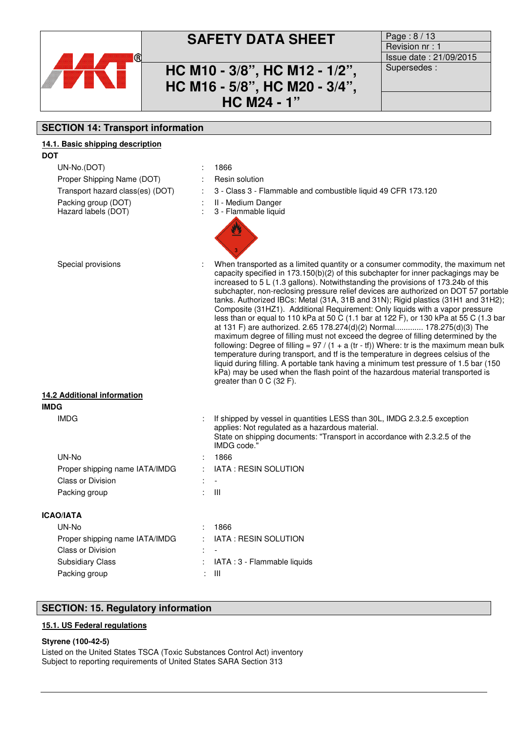

## **SAFETY DATA SHEET** Page : 8/13

### **HC M10 - 3/8", HC M12 - 1/2", HC M16 - 5/8", HC M20 - 3/4", HC M24 - 1"**

Revision nr : 1 Issue date : 21/09/2015 Supersedes :

### **SECTION 14: Transport information**

### **14.1. Basic shipping description DOT**

| UN-No.(DOT)                                | 1866                                                                                                                                                                                                                                                                                                                                                                                                                                                                                                                                                                                                                                                                                                                                                                                                                                                                                                                                                                                                                                                                                                                                                                                 |
|--------------------------------------------|--------------------------------------------------------------------------------------------------------------------------------------------------------------------------------------------------------------------------------------------------------------------------------------------------------------------------------------------------------------------------------------------------------------------------------------------------------------------------------------------------------------------------------------------------------------------------------------------------------------------------------------------------------------------------------------------------------------------------------------------------------------------------------------------------------------------------------------------------------------------------------------------------------------------------------------------------------------------------------------------------------------------------------------------------------------------------------------------------------------------------------------------------------------------------------------|
| Proper Shipping Name (DOT)                 | Resin solution                                                                                                                                                                                                                                                                                                                                                                                                                                                                                                                                                                                                                                                                                                                                                                                                                                                                                                                                                                                                                                                                                                                                                                       |
| Transport hazard class(es) (DOT)           | 3 - Class 3 - Flammable and combustible liquid 49 CFR 173.120                                                                                                                                                                                                                                                                                                                                                                                                                                                                                                                                                                                                                                                                                                                                                                                                                                                                                                                                                                                                                                                                                                                        |
| Packing group (DOT)<br>Hazard labels (DOT) | II - Medium Danger<br>3 - Flammable liquid                                                                                                                                                                                                                                                                                                                                                                                                                                                                                                                                                                                                                                                                                                                                                                                                                                                                                                                                                                                                                                                                                                                                           |
| Special provisions                         | When transported as a limited quantity or a consumer commodity, the maximum net<br>capacity specified in $173.150(b)(2)$ of this subchapter for inner packagings may be<br>increased to 5 L (1.3 gallons). Notwithstanding the provisions of 173.24b of this<br>subchapter, non-reclosing pressure relief devices are authorized on DOT 57 portable<br>tanks. Authorized IBCs: Metal (31A, 31B and 31N); Rigid plastics (31H1 and 31H2);<br>Composite (31HZ1). Additional Requirement: Only liquids with a vapor pressure<br>less than or equal to 110 kPa at 50 C (1.1 bar at 122 F), or 130 kPa at 55 C (1.3 bar<br>at 131 F) are authorized. 2.65 178.274(d)(2) Normal 178.275(d)(3) The<br>maximum degree of filling must not exceed the degree of filling determined by the<br>following: Degree of filling = $97 / (1 + a (tr - tf))$ Where: tr is the maximum mean bulk<br>temperature during transport, and tf is the temperature in degrees celsius of the<br>liquid during filling. A portable tank having a minimum test pressure of 1.5 bar (150<br>kPa) may be used when the flash point of the hazardous material transported is<br>greater than $0 \text{ C}$ (32 F). |
| 14.2 Additional information                |                                                                                                                                                                                                                                                                                                                                                                                                                                                                                                                                                                                                                                                                                                                                                                                                                                                                                                                                                                                                                                                                                                                                                                                      |
| <b>IMDG</b>                                |                                                                                                                                                                                                                                                                                                                                                                                                                                                                                                                                                                                                                                                                                                                                                                                                                                                                                                                                                                                                                                                                                                                                                                                      |
| <b>IMDG</b>                                | If shipped by vessel in quantities LESS than 30L, IMDG 2.3.2.5 exception<br>applies: Not regulated as a hazardous material.<br>State on shipping documents: "Transport in accordance with 2.3.2.5 of the<br>IMDG code.'                                                                                                                                                                                                                                                                                                                                                                                                                                                                                                                                                                                                                                                                                                                                                                                                                                                                                                                                                              |
| UN-No                                      | 1866                                                                                                                                                                                                                                                                                                                                                                                                                                                                                                                                                                                                                                                                                                                                                                                                                                                                                                                                                                                                                                                                                                                                                                                 |
| Proper shipping name IATA/IMDG             | IATA: RESIN SOLUTION                                                                                                                                                                                                                                                                                                                                                                                                                                                                                                                                                                                                                                                                                                                                                                                                                                                                                                                                                                                                                                                                                                                                                                 |
| Class or Division                          |                                                                                                                                                                                                                                                                                                                                                                                                                                                                                                                                                                                                                                                                                                                                                                                                                                                                                                                                                                                                                                                                                                                                                                                      |
| Packing group                              | Ш                                                                                                                                                                                                                                                                                                                                                                                                                                                                                                                                                                                                                                                                                                                                                                                                                                                                                                                                                                                                                                                                                                                                                                                    |
| <b>ICAO/IATA</b>                           |                                                                                                                                                                                                                                                                                                                                                                                                                                                                                                                                                                                                                                                                                                                                                                                                                                                                                                                                                                                                                                                                                                                                                                                      |
| UN-No                                      | 1866                                                                                                                                                                                                                                                                                                                                                                                                                                                                                                                                                                                                                                                                                                                                                                                                                                                                                                                                                                                                                                                                                                                                                                                 |
| Proper shipping name IATA/IMDG             | IATA: RESIN SOLUTION                                                                                                                                                                                                                                                                                                                                                                                                                                                                                                                                                                                                                                                                                                                                                                                                                                                                                                                                                                                                                                                                                                                                                                 |
| Class or Division                          |                                                                                                                                                                                                                                                                                                                                                                                                                                                                                                                                                                                                                                                                                                                                                                                                                                                                                                                                                                                                                                                                                                                                                                                      |
| <b>Subsidiary Class</b>                    | IATA: 3 - Flammable liquids                                                                                                                                                                                                                                                                                                                                                                                                                                                                                                                                                                                                                                                                                                                                                                                                                                                                                                                                                                                                                                                                                                                                                          |
| Packing group                              | Ш                                                                                                                                                                                                                                                                                                                                                                                                                                                                                                                                                                                                                                                                                                                                                                                                                                                                                                                                                                                                                                                                                                                                                                                    |

### **SECTION: 15. Regulatory information**

### **15.1. US Federal regulations**

### **Styrene (100-42-5)**

Listed on the United States TSCA (Toxic Substances Control Act) inventory Subject to reporting requirements of United States SARA Section 313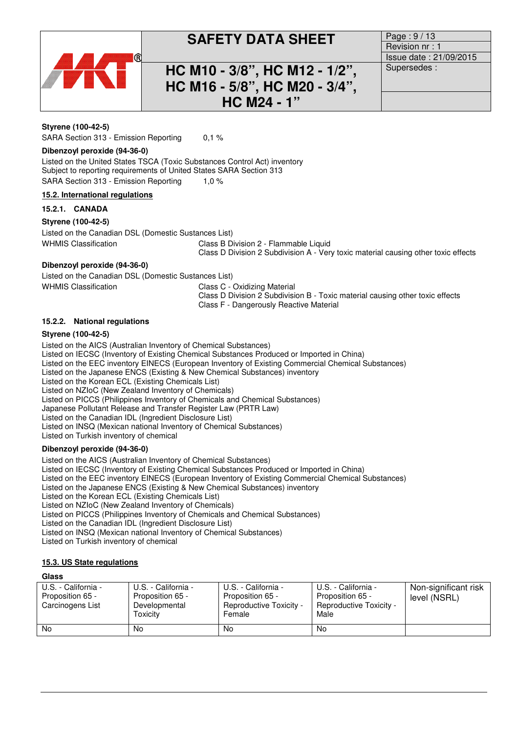

## **SAFETY DATA SHEET** Page : 9/13

### **HC M10 - 3/8", HC M12 - 1/2", HC M16 - 5/8", HC M20 - 3/4", HC M24 - 1"**

Revision nr : 1 Issue date : 21/09/2015 Supersedes :

### **Styrene (100-42-5)**

SARA Section 313 - Emission Reporting 0,1 %

#### **Dibenzoyl peroxide (94-36-0)**

Listed on the United States TSCA (Toxic Substances Control Act) inventory Subject to reporting requirements of United States SARA Section 313 SARA Section 313 - Emission Reporting 1,0 %

### **15.2. International regulations**

### **15.2.1. CANADA**

### **Styrene (100-42-5)**

Listed on the Canadian DSL (Domestic Sustances List) WHMIS Classification Class B Division 2 - Flammable Liquid

Class D Division 2 Subdivision A - Very toxic material causing other toxic effects

### **Dibenzoyl peroxide (94-36-0)**

Listed on the Canadian DSL (Domestic Sustances List) WHMIS Classification **Class C** - Oxidizing Material

Class D Division 2 Subdivision B - Toxic material causing other toxic effects Class F - Dangerously Reactive Material

### **15.2.2. National regulations**

### **Styrene (100-42-5)**

Listed on the AICS (Australian Inventory of Chemical Substances) Listed on IECSC (Inventory of Existing Chemical Substances Produced or Imported in China) Listed on the EEC inventory EINECS (European Inventory of Existing Commercial Chemical Substances) Listed on the Japanese ENCS (Existing & New Chemical Substances) inventory Listed on the Korean ECL (Existing Chemicals List) Listed on NZIoC (New Zealand Inventory of Chemicals) Listed on PICCS (Philippines Inventory of Chemicals and Chemical Substances) Japanese Pollutant Release and Transfer Register Law (PRTR Law) Listed on the Canadian IDL (Ingredient Disclosure List)

Listed on INSQ (Mexican national Inventory of Chemical Substances)

Listed on Turkish inventory of chemical

### **Dibenzoyl peroxide (94-36-0)**

Listed on the AICS (Australian Inventory of Chemical Substances)

Listed on IECSC (Inventory of Existing Chemical Substances Produced or Imported in China)

Listed on the EEC inventory EINECS (European Inventory of Existing Commercial Chemical Substances)

Listed on the Japanese ENCS (Existing & New Chemical Substances) inventory

Listed on the Korean ECL (Existing Chemicals List)

Listed on NZIoC (New Zealand Inventory of Chemicals)

Listed on PICCS (Philippines Inventory of Chemicals and Chemical Substances)

Listed on the Canadian IDL (Ingredient Disclosure List)

Listed on INSQ (Mexican national Inventory of Chemical Substances)

Listed on Turkish inventory of chemical

### **15.3. US State regulations**

### **Glass**

| U.S. - California -<br>Proposition 65 -<br>Carcinogens List | U.S. - California -<br>Proposition 65 -<br>Developmental<br>Toxicitv | U.S. - California -<br>Proposition 65 -<br><b>Reproductive Toxicity -</b><br>Female | U.S. - California -<br>Proposition 65 -<br>Reproductive Toxicity -<br>Male | Non-significant risk<br>level (NSRL) |
|-------------------------------------------------------------|----------------------------------------------------------------------|-------------------------------------------------------------------------------------|----------------------------------------------------------------------------|--------------------------------------|
| <b>No</b>                                                   | No                                                                   | No                                                                                  | <b>No</b>                                                                  |                                      |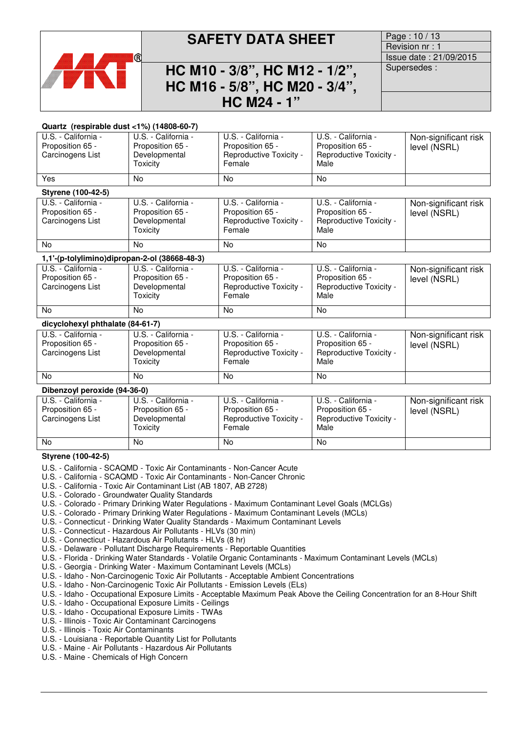

## **SAFETY DATA SHEET** Page: 10/13

### **HC M10 - 3/8", HC M12 - 1/2", HC M16 - 5/8", HC M20 - 3/4", HC M24 - 1"**

Revision nr : 1 Issue date : 21/09/2015 Supersedes :

#### **Quartz (respirable dust <1%) (14808-60-7)**

| U.S. - California -<br>Proposition 65 -<br>Carcinogens List | U.S. - California -<br>Proposition 65 -<br>Developmental<br>Toxicity | U.S. - California -<br>Proposition 65 -<br>Reproductive Toxicity -<br>Female | U.S. - California -<br>Proposition 65 -<br>Reproductive Toxicity -<br>Male | Non-significant risk<br>level (NSRL) |
|-------------------------------------------------------------|----------------------------------------------------------------------|------------------------------------------------------------------------------|----------------------------------------------------------------------------|--------------------------------------|
| Yes                                                         | No.                                                                  | No.                                                                          | <b>No</b>                                                                  |                                      |
| Styrene (100-42-5)                                          |                                                                      |                                                                              |                                                                            |                                      |
| U.S. - California -<br>Proposition 65 -<br>Carcinogens List | U.S. - California -<br>Proposition 65 -<br>Developmental<br>Toxicity | U.S. - California -<br>Proposition 65 -<br>Reproductive Toxicity -<br>Female | U.S. - California -<br>Proposition 65 -<br>Reproductive Toxicity -<br>Male | Non-significant risk<br>level (NSRL) |
| <b>No</b>                                                   | No.                                                                  | No.                                                                          | <b>No</b>                                                                  |                                      |
| 1,1'-(p-tolylimino)dipropan-2-ol (38668-48-3)               |                                                                      |                                                                              |                                                                            |                                      |
| U.S. - California -<br>Proposition 65 -<br>Carcinogens List | U.S. - California -<br>Proposition 65 -<br>Developmental<br>Toxicity | U.S. - California -<br>Proposition 65 -<br>Reproductive Toxicity -<br>Female | U.S. - California -<br>Proposition 65 -<br>Reproductive Toxicity -<br>Male | Non-significant risk<br>level (NSRL) |
| No                                                          | <b>No</b>                                                            | <b>No</b>                                                                    | <b>No</b>                                                                  |                                      |
| dicyclohexyl phthalate (84-61-7)                            |                                                                      |                                                                              |                                                                            |                                      |
| U.S. - California -<br>Proposition 65 -<br>Carcinogens List | U.S. - California -<br>Proposition 65 -<br>Developmental<br>Toxicity | U.S. - California -<br>Proposition 65 -<br>Reproductive Toxicity -<br>Female | U.S. - California -<br>Proposition 65 -<br>Reproductive Toxicity -<br>Male | Non-significant risk<br>level (NSRL) |
| No                                                          | <b>No</b>                                                            | No.                                                                          | <b>No</b>                                                                  |                                      |
| Dibenzoyl peroxide (94-36-0)                                |                                                                      |                                                                              |                                                                            |                                      |
| U.S. - California -                                         | U.S. - California -                                                  | U.S. - California -                                                          | U.S. - California -                                                        | Non-significant risk                 |

| U.S. - California -<br>Proposition 65 -<br>Carcinogens List | U.S. - California -<br>Proposition 65 -<br>Developmental<br>Toxicitv | U.S. - California -<br>Proposition 65 -<br>Reproductive Toxicity -<br>Female | U.S. - California -<br>Proposition 65 -<br>Reproductive Toxicity -<br>Male | Non-significant risk<br>level (NSRL) |
|-------------------------------------------------------------|----------------------------------------------------------------------|------------------------------------------------------------------------------|----------------------------------------------------------------------------|--------------------------------------|
| No                                                          | No                                                                   | No                                                                           | No                                                                         |                                      |

### **Styrene (100-42-5)**

- U.S. California SCAQMD Toxic Air Contaminants Non-Cancer Acute
- U.S. California SCAQMD Toxic Air Contaminants Non-Cancer Chronic
- U.S. California Toxic Air Contaminant List (AB 1807, AB 2728)
- U.S. Colorado Groundwater Quality Standards
- U.S. Colorado Primary Drinking Water Regulations Maximum Contaminant Level Goals (MCLGs)
- U.S. Colorado Primary Drinking Water Regulations Maximum Contaminant Levels (MCLs)
- U.S. Connecticut Drinking Water Quality Standards Maximum Contaminant Levels
- U.S. Connecticut Hazardous Air Pollutants HLVs (30 min)
- U.S. Connecticut Hazardous Air Pollutants HLVs (8 hr)
- U.S. Delaware Pollutant Discharge Requirements Reportable Quantities
- U.S. Florida Drinking Water Standards Volatile Organic Contaminants Maximum Contaminant Levels (MCLs)
- U.S. Georgia Drinking Water Maximum Contaminant Levels (MCLs)
- U.S. Idaho Non-Carcinogenic Toxic Air Pollutants Acceptable Ambient Concentrations
- U.S. Idaho Non-Carcinogenic Toxic Air Pollutants Emission Levels (ELs)
- U.S. Idaho Occupational Exposure Limits Acceptable Maximum Peak Above the Ceiling Concentration for an 8-Hour Shift
- U.S. Idaho Occupational Exposure Limits Ceilings
- U.S. Idaho Occupational Exposure Limits TWAs
- U.S. Illinois Toxic Air Contaminant Carcinogens
- U.S. Illinois Toxic Air Contaminants
- U.S. Louisiana Reportable Quantity List for Pollutants
- U.S. Maine Air Pollutants Hazardous Air Pollutants
- U.S. Maine Chemicals of High Concern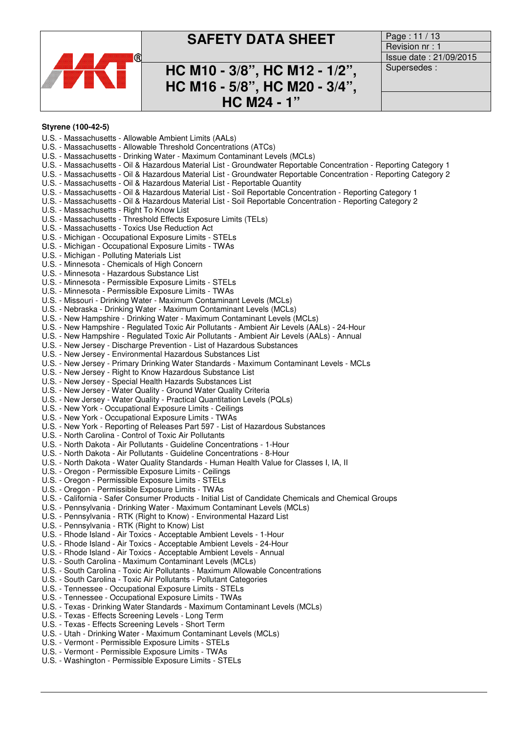

## **SAFETY DATA SHEET** Page: 11/13

### **HC M10 - 3/8", HC M12 - 1/2", HC M16 - 5/8", HC M20 - 3/4", HC M24 - 1"**

Revision nr : 1 Issue date : 21/09/2015 Supersedes :

#### **Styrene (100-42-5)**

- U.S. Massachusetts Allowable Ambient Limits (AALs)
- U.S. Massachusetts Allowable Threshold Concentrations (ATCs)
- U.S. Massachusetts Drinking Water Maximum Contaminant Levels (MCLs)
- U.S. Massachusetts Oil & Hazardous Material List Groundwater Reportable Concentration Reporting Category 1
- U.S. Massachusetts Oil & Hazardous Material List Groundwater Reportable Concentration Reporting Category 2
- U.S. Massachusetts Oil & Hazardous Material List Reportable Quantity
- U.S. Massachusetts Oil & Hazardous Material List Soil Reportable Concentration Reporting Category 1
- U.S. Massachusetts Oil & Hazardous Material List Soil Reportable Concentration Reporting Category 2
- U.S. Massachusetts Right To Know List
- U.S. Massachusetts Threshold Effects Exposure Limits (TELs)
- U.S. Massachusetts Toxics Use Reduction Act
- U.S. Michigan Occupational Exposure Limits STELs
- U.S. Michigan Occupational Exposure Limits TWAs
- U.S. Michigan Polluting Materials List
- U.S. Minnesota Chemicals of High Concern
- U.S. Minnesota Hazardous Substance List
- U.S. Minnesota Permissible Exposure Limits STELs
- U.S. Minnesota Permissible Exposure Limits TWAs
- U.S. Missouri Drinking Water Maximum Contaminant Levels (MCLs)
- U.S. Nebraska Drinking Water Maximum Contaminant Levels (MCLs)
- U.S. New Hampshire Drinking Water Maximum Contaminant Levels (MCLs)
- U.S. New Hampshire Regulated Toxic Air Pollutants Ambient Air Levels (AALs) 24-Hour
- U.S. New Hampshire Regulated Toxic Air Pollutants Ambient Air Levels (AALs) Annual
- U.S. New Jersey Discharge Prevention List of Hazardous Substances
- U.S. New Jersey Environmental Hazardous Substances List
- U.S. New Jersey Primary Drinking Water Standards Maximum Contaminant Levels MCLs
- U.S. New Jersey Right to Know Hazardous Substance List
- U.S. New Jersey Special Health Hazards Substances List
- U.S. New Jersey Water Quality Ground Water Quality Criteria
- U.S. New Jersey Water Quality Practical Quantitation Levels (PQLs)
- U.S. New York Occupational Exposure Limits Ceilings
- U.S. New York Occupational Exposure Limits TWAs
- U.S. New York Reporting of Releases Part 597 List of Hazardous Substances
- U.S. North Carolina Control of Toxic Air Pollutants
- U.S. North Dakota Air Pollutants Guideline Concentrations 1-Hour
- U.S. North Dakota Air Pollutants Guideline Concentrations 8-Hour
- U.S. North Dakota Water Quality Standards Human Health Value for Classes I, IA, II
- U.S. Oregon Permissible Exposure Limits Ceilings
- U.S. Oregon Permissible Exposure Limits STELs
- U.S. Oregon Permissible Exposure Limits TWAs
- U.S. California Safer Consumer Products Initial List of Candidate Chemicals and Chemical Groups
- U.S. Pennsylvania Drinking Water Maximum Contaminant Levels (MCLs)
- U.S. Pennsylvania RTK (Right to Know) Environmental Hazard List
- U.S. Pennsylvania RTK (Right to Know) List
- U.S. Rhode Island Air Toxics Acceptable Ambient Levels 1-Hour
- U.S. Rhode Island Air Toxics Acceptable Ambient Levels 24-Hour
- U.S. Rhode Island Air Toxics Acceptable Ambient Levels Annual
- U.S. South Carolina Maximum Contaminant Levels (MCLs)
- U.S. South Carolina Toxic Air Pollutants Maximum Allowable Concentrations
- U.S. South Carolina Toxic Air Pollutants Pollutant Categories
- U.S. Tennessee Occupational Exposure Limits STELs
- U.S. Tennessee Occupational Exposure Limits TWAs
- U.S. Texas Drinking Water Standards Maximum Contaminant Levels (MCLs)
- U.S. Texas Effects Screening Levels Long Term
- U.S. Texas Effects Screening Levels Short Term
- U.S. Utah Drinking Water Maximum Contaminant Levels (MCLs)
- U.S. Vermont Permissible Exposure Limits STELs
- U.S. Vermont Permissible Exposure Limits TWAs
- U.S. Washington Permissible Exposure Limits STELs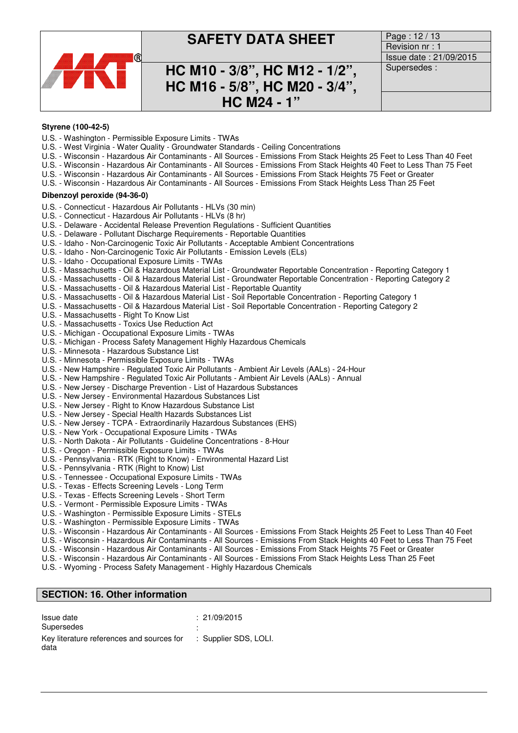

### **SAFETY DATA SHEET** Page: 12/13

### **HC M10 - 3/8", HC M12 - 1/2", HC M16 - 5/8", HC M20 - 3/4", HC M24 - 1"**

Revision nr : 1 Issue date : 21/09/2015 Supersedes :

#### **Styrene (100-42-5)**

- U.S. Washington Permissible Exposure Limits TWAs
- U.S. West Virginia Water Quality Groundwater Standards Ceiling Concentrations
- U.S. Wisconsin Hazardous Air Contaminants All Sources Emissions From Stack Heights 25 Feet to Less Than 40 Feet
- U.S. Wisconsin Hazardous Air Contaminants All Sources Emissions From Stack Heights 40 Feet to Less Than 75 Feet
- U.S. Wisconsin Hazardous Air Contaminants All Sources Emissions From Stack Heights 75 Feet or Greater
- U.S. Wisconsin Hazardous Air Contaminants All Sources Emissions From Stack Heights Less Than 25 Feet

#### **Dibenzoyl peroxide (94-36-0)**

- U.S. Connecticut Hazardous Air Pollutants HLVs (30 min)
- U.S. Connecticut Hazardous Air Pollutants HLVs (8 hr)
- U.S. Delaware Accidental Release Prevention Regulations Sufficient Quantities
- U.S. Delaware Pollutant Discharge Requirements Reportable Quantities
- U.S. Idaho Non-Carcinogenic Toxic Air Pollutants Acceptable Ambient Concentrations
- U.S. Idaho Non-Carcinogenic Toxic Air Pollutants Emission Levels (ELs)
- U.S. Idaho Occupational Exposure Limits TWAs
- U.S. Massachusetts Oil & Hazardous Material List Groundwater Reportable Concentration Reporting Category 1
- U.S. Massachusetts Oil & Hazardous Material List Groundwater Reportable Concentration Reporting Category 2
- U.S. Massachusetts Oil & Hazardous Material List Reportable Quantity
- U.S. Massachusetts Oil & Hazardous Material List Soil Reportable Concentration Reporting Category 1
- U.S. Massachusetts Oil & Hazardous Material List Soil Reportable Concentration Reporting Category 2
- U.S. Massachusetts Right To Know List
- U.S. Massachusetts Toxics Use Reduction Act
- U.S. Michigan Occupational Exposure Limits TWAs
- U.S. Michigan Process Safety Management Highly Hazardous Chemicals
- U.S. Minnesota Hazardous Substance List
- U.S. Minnesota Permissible Exposure Limits TWAs
- U.S. New Hampshire Regulated Toxic Air Pollutants Ambient Air Levels (AALs) 24-Hour
- U.S. New Hampshire Regulated Toxic Air Pollutants Ambient Air Levels (AALs) Annual
- U.S. New Jersey Discharge Prevention List of Hazardous Substances
- U.S. New Jersey Environmental Hazardous Substances List
- U.S. New Jersey Right to Know Hazardous Substance List
- U.S. New Jersey Special Health Hazards Substances List
- U.S. New Jersey TCPA Extraordinarily Hazardous Substances (EHS)
- U.S. New York Occupational Exposure Limits TWAs
- U.S. North Dakota Air Pollutants Guideline Concentrations 8-Hour
- U.S. Oregon Permissible Exposure Limits TWAs
- U.S. Pennsylvania RTK (Right to Know) Environmental Hazard List
- U.S. Pennsylvania RTK (Right to Know) List
- U.S. Tennessee Occupational Exposure Limits TWAs
- U.S. Texas Effects Screening Levels Long Term
- U.S. Texas Effects Screening Levels Short Term
- U.S. Vermont Permissible Exposure Limits TWAs
- U.S. Washington Permissible Exposure Limits STELs
- U.S. Washington Permissible Exposure Limits TWAs
- 
- U.S. Wisconsin Hazardous Air Contaminants All Sources Emissions From Stack Heights 25 Feet to Less Than 40 Feet U.S. - Wisconsin - Hazardous Air Contaminants - All Sources - Emissions From Stack Heights 40 Feet to Less Than 75 Feet
- U.S. Wisconsin Hazardous Air Contaminants All Sources Emissions From Stack Heights 75 Feet or Greater
- U.S. Wisconsin Hazardous Air Contaminants All Sources Emissions From Stack Heights Less Than 25 Feet
- U.S. Wyoming Process Safety Management Highly Hazardous Chemicals

### **SECTION: 16. Other information**

| Issue date                                | : 21/09/2015          |
|-------------------------------------------|-----------------------|
| Supersedes                                |                       |
| Key literature references and sources for | : Supplier SDS, LOLI. |
| data                                      |                       |